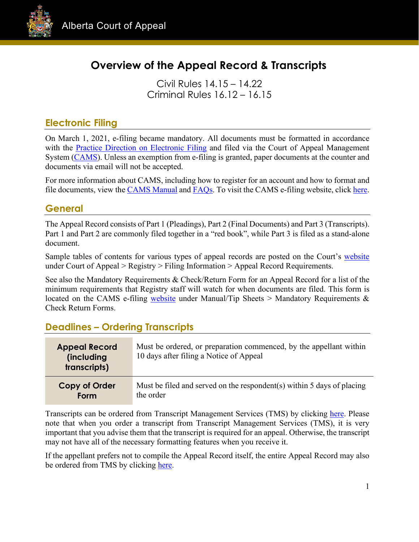

# **Overview of the Appeal Record & Transcripts**

Civil Rules 14.15 – 14.22 Criminal Rules 16.12 – 16.15

### **Electronic Filing**

On March 1, 2021, e-filing became mandatory. All documents must be formatted in accordance with the [Practice Direction on Electronic Filing](https://cams.albertacourts.ca/public-portal/files/practiceDirection.pdf) and filed via the Court of Appeal Management System [\(CAMS\)](https://cams.albertacourts.ca/public-portal/). Unless an exemption from e-filing is granted, paper documents at the counter and documents via email will not be accepted.

For more information about CAMS, including how to register for an account and how to format and file documents, view the [CAMS Manual](https://cams.albertacourts.ca/public-portal/files/CAMSManual.pdf) and [FAQs.](https://cams.albertacourts.ca/public-portal/files/FAQS.pdf) To visit the CAMS e-filing website, click [here.](https://cams.albertacourts.ca/public-portal/)

### **General**

The Appeal Record consists of Part 1 (Pleadings), Part 2 (Final Documents) and Part 3 (Transcripts). Part 1 and Part 2 are commonly filed together in a "red book", while Part 3 is filed as a stand-alone document.

Sample tables of contents for various types of appeal records are posted on the Court's [website](https://www.albertacourts.ca/ca/home) under Court of Appeal > Registry > Filing Information > Appeal Record Requirements.

See also the Mandatory Requirements & Check/Return Form for an Appeal Record for a list of the minimum requirements that Registry staff will watch for when documents are filed. This form is located on the CAMS e-filing [website](https://cams.albertacourts.ca/public-portal/) under Manual/Tip Sheets > Mandatory Requirements & Check Return Forms.

## **Deadlines – Ordering Transcripts**

| <b>Appeal Record</b><br><i>(including)</i><br>transcripts) | Must be ordered, or preparation commenced, by the appellant within<br>10 days after filing a Notice of Appeal |
|------------------------------------------------------------|---------------------------------------------------------------------------------------------------------------|
| Copy of Order                                              | Must be filed and served on the respondent(s) within 5 days of placing                                        |
| Form                                                       | the order                                                                                                     |

Transcripts can be ordered from Transcript Management Services (TMS) by clicking [here.](https://www.alberta.ca/order-courtroom-transcript.aspx) Please note that when you order a transcript from Transcript Management Services (TMS), it is very important that you advise them that the transcript is required for an appeal. Otherwise, the transcript may not have all of the necessary formatting features when you receive it.

If the appellant prefers not to compile the Appeal Record itself, the entire Appeal Record may also be ordered from TMS by clicking [here.](https://www.alberta.ca/order-appeal-record.aspx)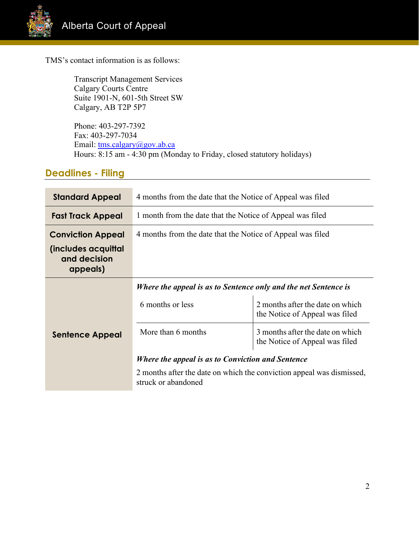

TMS's contact information is as follows:

Transcript Management Services Calgary Courts Centre Suite 1901-N, 601-5th Street SW Calgary, AB T2P 5P7

Phone: 403-297-7392 Fax: 403-297-7034 Email: [tms.calgary@gov.ab.ca](mailto:tms.calgary@gov.ab.ca) Hours: 8:15 am - 4:30 pm (Monday to Friday, closed statutory holidays)

## **Deadlines - Filing**

| <b>Standard Appeal</b>                          | 4 months from the date that the Notice of Appeal was filed                                   |                                                                    |  |
|-------------------------------------------------|----------------------------------------------------------------------------------------------|--------------------------------------------------------------------|--|
| <b>Fast Track Appeal</b>                        | 1 month from the date that the Notice of Appeal was filed                                    |                                                                    |  |
| <b>Conviction Appeal</b>                        | 4 months from the date that the Notice of Appeal was filed                                   |                                                                    |  |
| (includes acquittal<br>and decision<br>appeals) |                                                                                              |                                                                    |  |
|                                                 | Where the appeal is as to Sentence only and the net Sentence is                              |                                                                    |  |
|                                                 | 6 months or less                                                                             | 2 months after the date on which<br>the Notice of Appeal was filed |  |
| <b>Sentence Appeal</b>                          | More than 6 months                                                                           | 3 months after the date on which<br>the Notice of Appeal was filed |  |
|                                                 | Where the appeal is as to Conviction and Sentence                                            |                                                                    |  |
|                                                 | 2 months after the date on which the conviction appeal was dismissed,<br>struck or abandoned |                                                                    |  |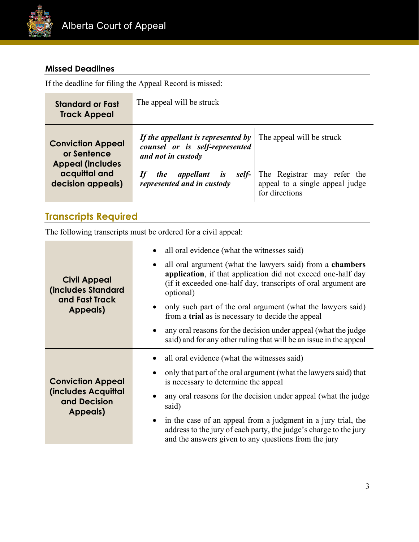

# **Missed Deadlines**

If the deadline for filing the Appeal Record is missed:

| <b>Standard or Fast</b><br><b>Track Appeal</b>                                                           | The appeal will be struck                                                                                                                                                                                                                                                                           |                                                                                  |
|----------------------------------------------------------------------------------------------------------|-----------------------------------------------------------------------------------------------------------------------------------------------------------------------------------------------------------------------------------------------------------------------------------------------------|----------------------------------------------------------------------------------|
| <b>Conviction Appeal</b><br>or Sentence<br><b>Appeal (includes</b><br>acquittal and<br>decision appeals) | If the appellant is represented by $\mid$ The appeal will be struck<br>counsel or is self-represented<br>and not in custody                                                                                                                                                                         |                                                                                  |
|                                                                                                          | appellant is<br>self-<br><i>the</i><br>It and the second the second term in the second term in the second term in the second term in the second term in the second term in the second term in the second term in the second term in the second term in the second ter<br>represented and in custody | The Registrar may refer the<br>appeal to a single appeal judge<br>for directions |

# **Transcripts Required**

The following transcripts must be ordered for a civil appeal:

| all oral evidence (what the witnesses said)<br>all oral argument (what the lawyers said) from a <b>chambers</b><br>$\bullet$<br>application, if that application did not exceed one-half day<br><b>Civil Appeal</b><br>(if it exceeded one-half day, transcripts of oral argument are<br><b>(includes Standard</b><br>optional)<br>and Fast Track<br>only such part of the oral argument (what the lawyers said)<br>Appeals)<br>from a trial as is necessary to decide the appeal<br>• any oral reasons for the decision under appeal (what the judge<br>said) and for any other ruling that will be an issue in the appeal<br>all oral evidence (what the witnesses said)<br>only that part of the oral argument (what the lawyers said) that<br><b>Conviction Appeal</b><br>is necessary to determine the appeal<br>(includes Acquittal<br>and Decision<br>said)<br>Appeals)<br>• in the case of an appeal from a judgment in a jury trial, the<br>address to the jury of each party, the judge's charge to the jury<br>and the answers given to any questions from the jury |                                                                |
|--------------------------------------------------------------------------------------------------------------------------------------------------------------------------------------------------------------------------------------------------------------------------------------------------------------------------------------------------------------------------------------------------------------------------------------------------------------------------------------------------------------------------------------------------------------------------------------------------------------------------------------------------------------------------------------------------------------------------------------------------------------------------------------------------------------------------------------------------------------------------------------------------------------------------------------------------------------------------------------------------------------------------------------------------------------------------------|----------------------------------------------------------------|
|                                                                                                                                                                                                                                                                                                                                                                                                                                                                                                                                                                                                                                                                                                                                                                                                                                                                                                                                                                                                                                                                                |                                                                |
|                                                                                                                                                                                                                                                                                                                                                                                                                                                                                                                                                                                                                                                                                                                                                                                                                                                                                                                                                                                                                                                                                | any oral reasons for the decision under appeal (what the judge |
|                                                                                                                                                                                                                                                                                                                                                                                                                                                                                                                                                                                                                                                                                                                                                                                                                                                                                                                                                                                                                                                                                |                                                                |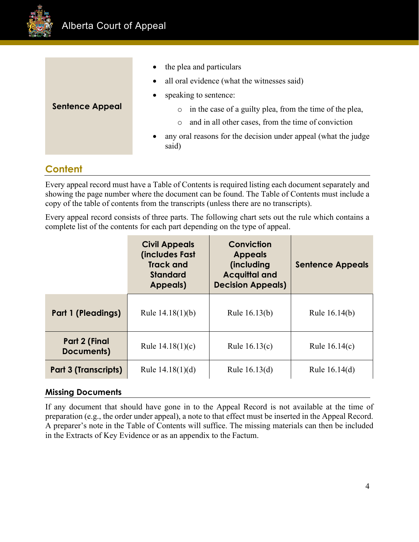

|                        | the plea and particulars<br>$\bullet$<br>• all oral evidence (what the witnesses said)                                                                                                                                                                      |
|------------------------|-------------------------------------------------------------------------------------------------------------------------------------------------------------------------------------------------------------------------------------------------------------|
| <b>Sentence Appeal</b> | speaking to sentence:<br>٠<br>in the case of a guilty plea, from the time of the plea,<br>$\circ$<br>and in all other cases, from the time of conviction<br>$\circ$<br>any oral reasons for the decision under appeal (what the judge<br>$\bullet$<br>said) |

# **Content**

Every appeal record must have a Table of Contents is required listing each document separately and showing the page number where the document can be found. The Table of Contents must include a copy of the table of contents from the transcripts (unless there are no transcripts).

Every appeal record consists of three parts. The following chart sets out the rule which contains a complete list of the contents for each part depending on the type of appeal.

|                             | <b>Civil Appeals</b><br>(includes Fast<br><b>Track and</b><br><b>Standard</b><br>Appeals) | Conviction<br><b>Appeals</b><br>(including<br><b>Acquittal and</b><br><b>Decision Appeals)</b> | <b>Sentence Appeals</b> |
|-----------------------------|-------------------------------------------------------------------------------------------|------------------------------------------------------------------------------------------------|-------------------------|
| <b>Part 1 (Pleadings)</b>   | Rule $14.18(1)(b)$                                                                        | Rule 16.13(b)                                                                                  | Rule 16.14(b)           |
| Part 2 (Final<br>Documents) | Rule $14.18(1)(c)$                                                                        | Rule $16.13(c)$                                                                                | Rule 16.14(c)           |
| Part 3 (Transcripts)        | Rule $14.18(1)(d)$                                                                        | Rule 16.13(d)                                                                                  | Rule 16.14(d)           |

#### **Missing Documents**

If any document that should have gone in to the Appeal Record is not available at the time of preparation (e.g., the order under appeal), a note to that effect must be inserted in the Appeal Record. A preparer's note in the Table of Contents will suffice. The missing materials can then be included in the Extracts of Key Evidence or as an appendix to the Factum.